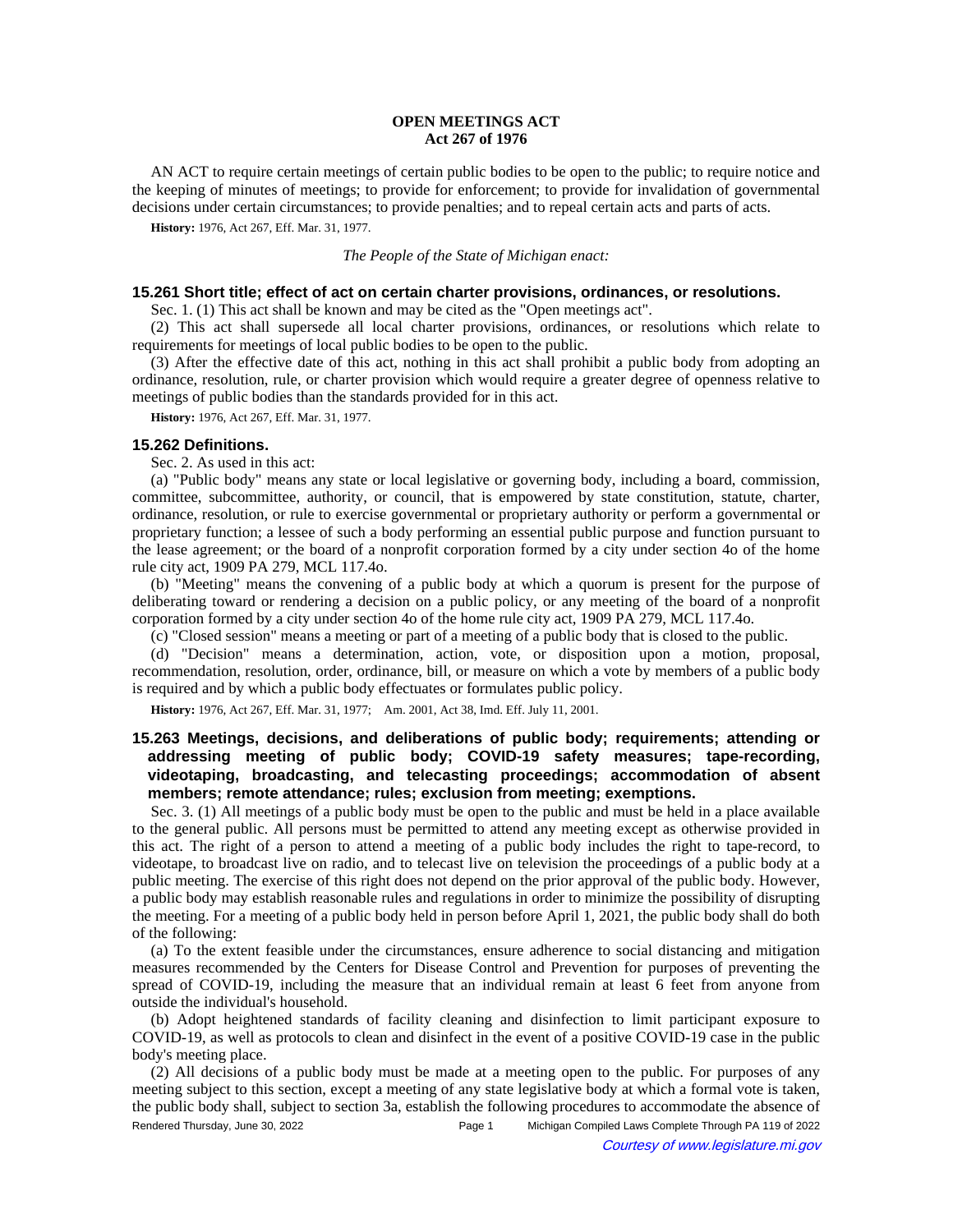## **OPEN MEETINGS ACT Act 267 of 1976**

AN ACT to require certain meetings of certain public bodies to be open to the public; to require notice and the keeping of minutes of meetings; to provide for enforcement; to provide for invalidation of governmental decisions under certain circumstances; to provide penalties; and to repeal certain acts and parts of acts.

**History:** 1976, Act 267, Eff. Mar. 31, 1977.

### *The People of the State of Michigan enact:*

### **15.261 Short title; effect of act on certain charter provisions, ordinances, or resolutions.**

Sec. 1. (1) This act shall be known and may be cited as the "Open meetings act".

(2) This act shall supersede all local charter provisions, ordinances, or resolutions which relate to requirements for meetings of local public bodies to be open to the public.

(3) After the effective date of this act, nothing in this act shall prohibit a public body from adopting an ordinance, resolution, rule, or charter provision which would require a greater degree of openness relative to meetings of public bodies than the standards provided for in this act.

**History:** 1976, Act 267, Eff. Mar. 31, 1977.

### **15.262 Definitions.**

Sec. 2. As used in this act:

(a) "Public body" means any state or local legislative or governing body, including a board, commission, committee, subcommittee, authority, or council, that is empowered by state constitution, statute, charter, ordinance, resolution, or rule to exercise governmental or proprietary authority or perform a governmental or proprietary function; a lessee of such a body performing an essential public purpose and function pursuant to the lease agreement; or the board of a nonprofit corporation formed by a city under section 4o of the home rule city act, 1909 PA 279, MCL 117.4o.

(b) "Meeting" means the convening of a public body at which a quorum is present for the purpose of deliberating toward or rendering a decision on a public policy, or any meeting of the board of a nonprofit corporation formed by a city under section 4o of the home rule city act, 1909 PA 279, MCL 117.4o.

(c) "Closed session" means a meeting or part of a meeting of a public body that is closed to the public.

(d) "Decision" means a determination, action, vote, or disposition upon a motion, proposal, recommendation, resolution, order, ordinance, bill, or measure on which a vote by members of a public body is required and by which a public body effectuates or formulates public policy.

History: 1976, Act 267, Eff. Mar. 31, 1977;-- Am. 2001, Act 38, Imd. Eff. July 11, 2001.

# **15.263 Meetings, decisions, and deliberations of public body; requirements; attending or addressing meeting of public body; COVID-19 safety measures; tape-recording, videotaping, broadcasting, and telecasting proceedings; accommodation of absent members; remote attendance; rules; exclusion from meeting; exemptions.**

Sec. 3. (1) All meetings of a public body must be open to the public and must be held in a place available to the general public. All persons must be permitted to attend any meeting except as otherwise provided in this act. The right of a person to attend a meeting of a public body includes the right to tape-record, to videotape, to broadcast live on radio, and to telecast live on television the proceedings of a public body at a public meeting. The exercise of this right does not depend on the prior approval of the public body. However, a public body may establish reasonable rules and regulations in order to minimize the possibility of disrupting the meeting. For a meeting of a public body held in person before April 1, 2021, the public body shall do both of the following:

(a) To the extent feasible under the circumstances, ensure adherence to social distancing and mitigation measures recommended by the Centers for Disease Control and Prevention for purposes of preventing the spread of COVID-19, including the measure that an individual remain at least 6 feet from anyone from outside the individual's household.

(b) Adopt heightened standards of facility cleaning and disinfection to limit participant exposure to COVID-19, as well as protocols to clean and disinfect in the event of a positive COVID-19 case in the public body's meeting place.

(2) All decisions of a public body must be made at a meeting open to the public. For purposes of any meeting subject to this section, except a meeting of any state legislative body at which a formal vote is taken, the public body shall, subject to section 3a, establish the following procedures to accommodate the absence of Rendered Thursday, June 30, 2022 Page 1 Michigan Compiled Laws Complete Through PA 119 of 2022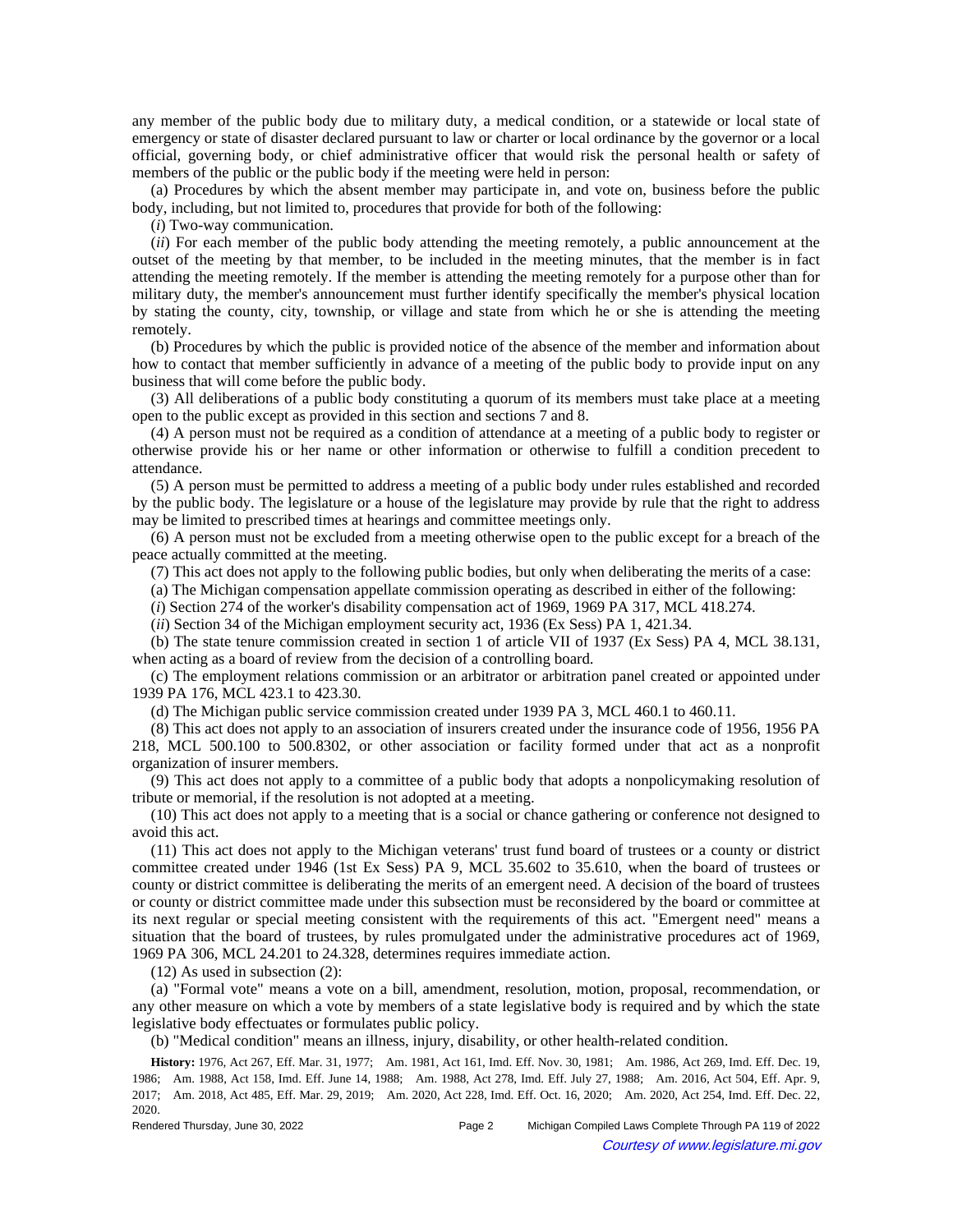any member of the public body due to military duty, a medical condition, or a statewide or local state of emergency or state of disaster declared pursuant to law or charter or local ordinance by the governor or a local official, governing body, or chief administrative officer that would risk the personal health or safety of members of the public or the public body if the meeting were held in person:

(a) Procedures by which the absent member may participate in, and vote on, business before the public body, including, but not limited to, procedures that provide for both of the following:

(*i*) Two-way communication.

(*ii*) For each member of the public body attending the meeting remotely, a public announcement at the outset of the meeting by that member, to be included in the meeting minutes, that the member is in fact attending the meeting remotely. If the member is attending the meeting remotely for a purpose other than for military duty, the member's announcement must further identify specifically the member's physical location by stating the county, city, township, or village and state from which he or she is attending the meeting remotely.

(b) Procedures by which the public is provided notice of the absence of the member and information about how to contact that member sufficiently in advance of a meeting of the public body to provide input on any business that will come before the public body.

(3) All deliberations of a public body constituting a quorum of its members must take place at a meeting open to the public except as provided in this section and sections 7 and 8.

(4) A person must not be required as a condition of attendance at a meeting of a public body to register or otherwise provide his or her name or other information or otherwise to fulfill a condition precedent to attendance.

(5) A person must be permitted to address a meeting of a public body under rules established and recorded by the public body. The legislature or a house of the legislature may provide by rule that the right to address may be limited to prescribed times at hearings and committee meetings only.

(6) A person must not be excluded from a meeting otherwise open to the public except for a breach of the peace actually committed at the meeting.

(7) This act does not apply to the following public bodies, but only when deliberating the merits of a case:

(a) The Michigan compensation appellate commission operating as described in either of the following:

(*i*) Section 274 of the worker's disability compensation act of 1969, 1969 PA 317, MCL 418.274.

(*ii*) Section 34 of the Michigan employment security act, 1936 (Ex Sess) PA 1, 421.34.

(b) The state tenure commission created in section 1 of article VII of 1937 (Ex Sess) PA 4, MCL 38.131, when acting as a board of review from the decision of a controlling board.

(c) The employment relations commission or an arbitrator or arbitration panel created or appointed under 1939 PA 176, MCL 423.1 to 423.30.

(d) The Michigan public service commission created under 1939 PA 3, MCL 460.1 to 460.11.

(8) This act does not apply to an association of insurers created under the insurance code of 1956, 1956 PA 218, MCL 500.100 to 500.8302, or other association or facility formed under that act as a nonprofit organization of insurer members.

(9) This act does not apply to a committee of a public body that adopts a nonpolicymaking resolution of tribute or memorial, if the resolution is not adopted at a meeting.

(10) This act does not apply to a meeting that is a social or chance gathering or conference not designed to avoid this act.

(11) This act does not apply to the Michigan veterans' trust fund board of trustees or a county or district committee created under 1946 (1st Ex Sess) PA 9, MCL 35.602 to 35.610, when the board of trustees or county or district committee is deliberating the merits of an emergent need. A decision of the board of trustees or county or district committee made under this subsection must be reconsidered by the board or committee at its next regular or special meeting consistent with the requirements of this act. "Emergent need" means a situation that the board of trustees, by rules promulgated under the administrative procedures act of 1969, 1969 PA 306, MCL 24.201 to 24.328, determines requires immediate action.

(12) As used in subsection (2):

(a) "Formal vote" means a vote on a bill, amendment, resolution, motion, proposal, recommendation, or any other measure on which a vote by members of a state legislative body is required and by which the state legislative body effectuates or formulates public policy.

(b) "Medical condition" means an illness, injury, disability, or other health-related condition.

History: 1976, Act 267, Eff. Mar. 31, 1977;--Am. 1981, Act 161, Imd. Eff. Nov. 30, 1981;--Am. 1986, Act 269, Imd. Eff. Dec. 19, 1986;-Am. 1988, Act 158, Imd. Eff. June 14, 1988;-Am. 1988, Act 278, Imd. Eff. July 27, 1988;-Am. 2016, Act 504, Eff. Apr. 9, 2017; Am. 2018, Act 485, Eff. Mar. 29, 2019; Am. 2020, Act 228, Imd. Eff. Oct. 16, 2020; Am. 2020, Act 254, Imd. Eff. Dec. 22, 2020.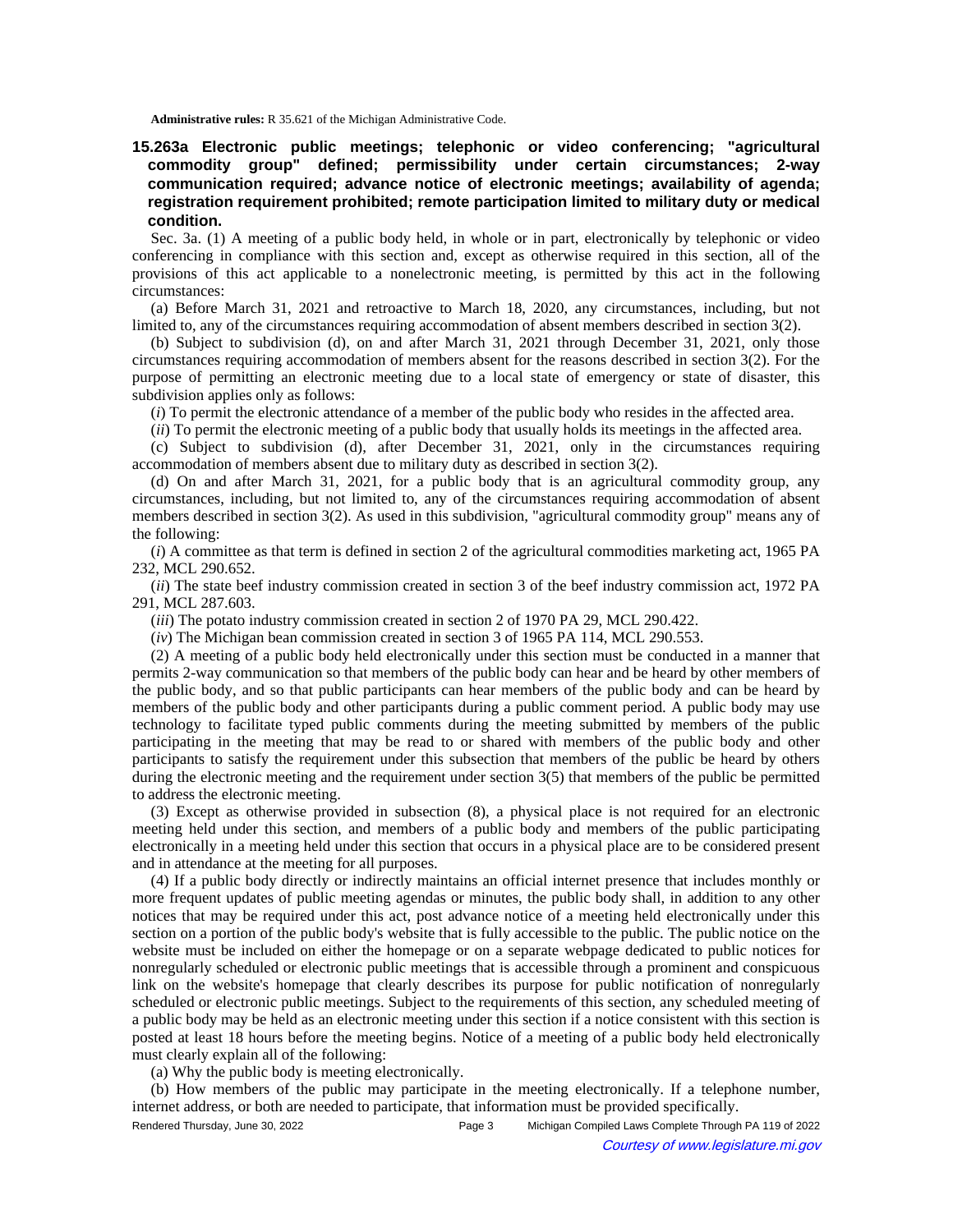**Administrative rules:** R 35.621 of the Michigan Administrative Code.

**15.263a Electronic public meetings; telephonic or video conferencing; "agricultural commodity group" defined; permissibility under certain circumstances; 2-way communication required; advance notice of electronic meetings; availability of agenda; registration requirement prohibited; remote participation limited to military duty or medical condition.**

Sec. 3a. (1) A meeting of a public body held, in whole or in part, electronically by telephonic or video conferencing in compliance with this section and, except as otherwise required in this section, all of the provisions of this act applicable to a nonelectronic meeting, is permitted by this act in the following circumstances:

(a) Before March 31, 2021 and retroactive to March 18, 2020, any circumstances, including, but not limited to, any of the circumstances requiring accommodation of absent members described in section 3(2).

(b) Subject to subdivision (d), on and after March 31, 2021 through December 31, 2021, only those circumstances requiring accommodation of members absent for the reasons described in section 3(2). For the purpose of permitting an electronic meeting due to a local state of emergency or state of disaster, this subdivision applies only as follows:

(*i*) To permit the electronic attendance of a member of the public body who resides in the affected area.

(*ii*) To permit the electronic meeting of a public body that usually holds its meetings in the affected area.

(c) Subject to subdivision (d), after December 31, 2021, only in the circumstances requiring accommodation of members absent due to military duty as described in section 3(2).

(d) On and after March 31, 2021, for a public body that is an agricultural commodity group, any circumstances, including, but not limited to, any of the circumstances requiring accommodation of absent members described in section 3(2). As used in this subdivision, "agricultural commodity group" means any of the following:

(*i*) A committee as that term is defined in section 2 of the agricultural commodities marketing act, 1965 PA 232, MCL 290.652.

(*ii*) The state beef industry commission created in section 3 of the beef industry commission act, 1972 PA 291, MCL 287.603.

(*iii*) The potato industry commission created in section 2 of 1970 PA 29, MCL 290.422.

(*iv*) The Michigan bean commission created in section 3 of 1965 PA 114, MCL 290.553.

(2) A meeting of a public body held electronically under this section must be conducted in a manner that permits 2-way communication so that members of the public body can hear and be heard by other members of the public body, and so that public participants can hear members of the public body and can be heard by members of the public body and other participants during a public comment period. A public body may use technology to facilitate typed public comments during the meeting submitted by members of the public participating in the meeting that may be read to or shared with members of the public body and other participants to satisfy the requirement under this subsection that members of the public be heard by others during the electronic meeting and the requirement under section 3(5) that members of the public be permitted to address the electronic meeting.

(3) Except as otherwise provided in subsection (8), a physical place is not required for an electronic meeting held under this section, and members of a public body and members of the public participating electronically in a meeting held under this section that occurs in a physical place are to be considered present and in attendance at the meeting for all purposes.

(4) If a public body directly or indirectly maintains an official internet presence that includes monthly or more frequent updates of public meeting agendas or minutes, the public body shall, in addition to any other notices that may be required under this act, post advance notice of a meeting held electronically under this section on a portion of the public body's website that is fully accessible to the public. The public notice on the website must be included on either the homepage or on a separate webpage dedicated to public notices for nonregularly scheduled or electronic public meetings that is accessible through a prominent and conspicuous link on the website's homepage that clearly describes its purpose for public notification of nonregularly scheduled or electronic public meetings. Subject to the requirements of this section, any scheduled meeting of a public body may be held as an electronic meeting under this section if a notice consistent with this section is posted at least 18 hours before the meeting begins. Notice of a meeting of a public body held electronically must clearly explain all of the following:

(a) Why the public body is meeting electronically.

(b) How members of the public may participate in the meeting electronically. If a telephone number, internet address, or both are needed to participate, that information must be provided specifically.

Rendered Thursday, June 30, 2022 Page 3 Michigan Compiled Laws Complete Through PA 119 of 2022 Courtesy of www.legislature.mi.gov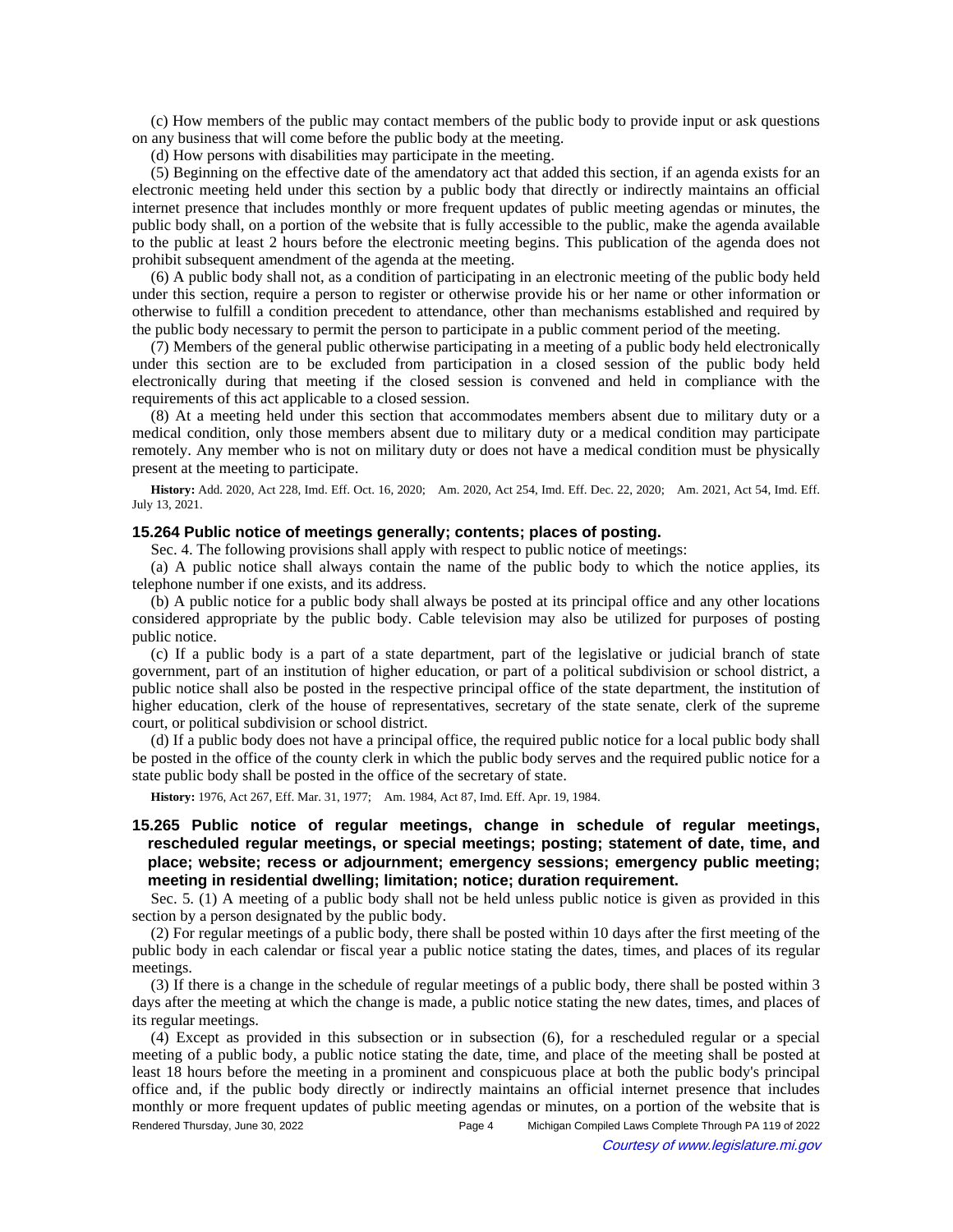(c) How members of the public may contact members of the public body to provide input or ask questions on any business that will come before the public body at the meeting.

(d) How persons with disabilities may participate in the meeting.

(5) Beginning on the effective date of the amendatory act that added this section, if an agenda exists for an electronic meeting held under this section by a public body that directly or indirectly maintains an official internet presence that includes monthly or more frequent updates of public meeting agendas or minutes, the public body shall, on a portion of the website that is fully accessible to the public, make the agenda available to the public at least 2 hours before the electronic meeting begins. This publication of the agenda does not prohibit subsequent amendment of the agenda at the meeting.

(6) A public body shall not, as a condition of participating in an electronic meeting of the public body held under this section, require a person to register or otherwise provide his or her name or other information or otherwise to fulfill a condition precedent to attendance, other than mechanisms established and required by the public body necessary to permit the person to participate in a public comment period of the meeting.

(7) Members of the general public otherwise participating in a meeting of a public body held electronically under this section are to be excluded from participation in a closed session of the public body held electronically during that meeting if the closed session is convened and held in compliance with the requirements of this act applicable to a closed session.

(8) At a meeting held under this section that accommodates members absent due to military duty or a medical condition, only those members absent due to military duty or a medical condition may participate remotely. Any member who is not on military duty or does not have a medical condition must be physically present at the meeting to participate.

History: Add. 2020, Act 228, Imd. Eff. Oct. 16, 2020;—Am. 2020, Act 254, Imd. Eff. Dec. 22, 2020;—Am. 2021, Act 54, Imd. Eff. July 13, 2021.

## **15.264 Public notice of meetings generally; contents; places of posting.**

Sec. 4. The following provisions shall apply with respect to public notice of meetings:

(a) A public notice shall always contain the name of the public body to which the notice applies, its telephone number if one exists, and its address.

(b) A public notice for a public body shall always be posted at its principal office and any other locations considered appropriate by the public body. Cable television may also be utilized for purposes of posting public notice.

(c) If a public body is a part of a state department, part of the legislative or judicial branch of state government, part of an institution of higher education, or part of a political subdivision or school district, a public notice shall also be posted in the respective principal office of the state department, the institution of higher education, clerk of the house of representatives, secretary of the state senate, clerk of the supreme court, or political subdivision or school district.

(d) If a public body does not have a principal office, the required public notice for a local public body shall be posted in the office of the county clerk in which the public body serves and the required public notice for a state public body shall be posted in the office of the secretary of state.

History: 1976, Act 267, Eff. Mar. 31, 1977;-- Am. 1984, Act 87, Imd. Eff. Apr. 19, 1984.

## **15.265 Public notice of regular meetings, change in schedule of regular meetings, rescheduled regular meetings, or special meetings; posting; statement of date, time, and place; website; recess or adjournment; emergency sessions; emergency public meeting; meeting in residential dwelling; limitation; notice; duration requirement.**

Sec. 5. (1) A meeting of a public body shall not be held unless public notice is given as provided in this section by a person designated by the public body.

(2) For regular meetings of a public body, there shall be posted within 10 days after the first meeting of the public body in each calendar or fiscal year a public notice stating the dates, times, and places of its regular meetings.

(3) If there is a change in the schedule of regular meetings of a public body, there shall be posted within 3 days after the meeting at which the change is made, a public notice stating the new dates, times, and places of its regular meetings.

(4) Except as provided in this subsection or in subsection (6), for a rescheduled regular or a special meeting of a public body, a public notice stating the date, time, and place of the meeting shall be posted at least 18 hours before the meeting in a prominent and conspicuous place at both the public body's principal office and, if the public body directly or indirectly maintains an official internet presence that includes monthly or more frequent updates of public meeting agendas or minutes, on a portion of the website that is Rendered Thursday, June 30, 2022 Page 4 Michigan Compiled Laws Complete Through PA 119 of 2022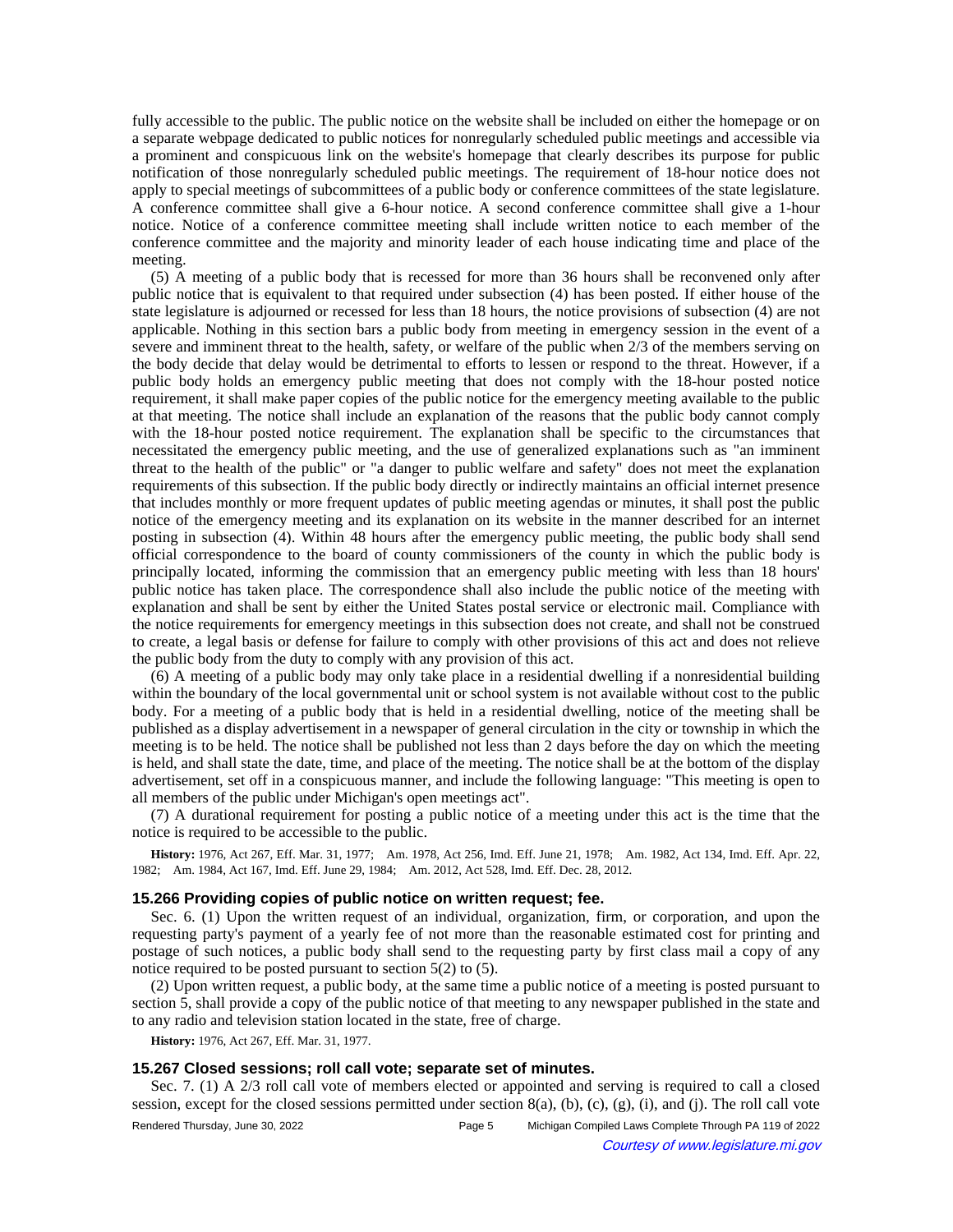fully accessible to the public. The public notice on the website shall be included on either the homepage or on a separate webpage dedicated to public notices for nonregularly scheduled public meetings and accessible via a prominent and conspicuous link on the website's homepage that clearly describes its purpose for public notification of those nonregularly scheduled public meetings. The requirement of 18-hour notice does not apply to special meetings of subcommittees of a public body or conference committees of the state legislature. A conference committee shall give a 6-hour notice. A second conference committee shall give a 1-hour notice. Notice of a conference committee meeting shall include written notice to each member of the conference committee and the majority and minority leader of each house indicating time and place of the meeting.

(5) A meeting of a public body that is recessed for more than 36 hours shall be reconvened only after public notice that is equivalent to that required under subsection (4) has been posted. If either house of the state legislature is adjourned or recessed for less than 18 hours, the notice provisions of subsection (4) are not applicable. Nothing in this section bars a public body from meeting in emergency session in the event of a severe and imminent threat to the health, safety, or welfare of the public when 2/3 of the members serving on the body decide that delay would be detrimental to efforts to lessen or respond to the threat. However, if a public body holds an emergency public meeting that does not comply with the 18-hour posted notice requirement, it shall make paper copies of the public notice for the emergency meeting available to the public at that meeting. The notice shall include an explanation of the reasons that the public body cannot comply with the 18-hour posted notice requirement. The explanation shall be specific to the circumstances that necessitated the emergency public meeting, and the use of generalized explanations such as "an imminent threat to the health of the public" or "a danger to public welfare and safety" does not meet the explanation requirements of this subsection. If the public body directly or indirectly maintains an official internet presence that includes monthly or more frequent updates of public meeting agendas or minutes, it shall post the public notice of the emergency meeting and its explanation on its website in the manner described for an internet posting in subsection (4). Within 48 hours after the emergency public meeting, the public body shall send official correspondence to the board of county commissioners of the county in which the public body is principally located, informing the commission that an emergency public meeting with less than 18 hours' public notice has taken place. The correspondence shall also include the public notice of the meeting with explanation and shall be sent by either the United States postal service or electronic mail. Compliance with the notice requirements for emergency meetings in this subsection does not create, and shall not be construed to create, a legal basis or defense for failure to comply with other provisions of this act and does not relieve the public body from the duty to comply with any provision of this act.

(6) A meeting of a public body may only take place in a residential dwelling if a nonresidential building within the boundary of the local governmental unit or school system is not available without cost to the public body. For a meeting of a public body that is held in a residential dwelling, notice of the meeting shall be published as a display advertisement in a newspaper of general circulation in the city or township in which the meeting is to be held. The notice shall be published not less than 2 days before the day on which the meeting is held, and shall state the date, time, and place of the meeting. The notice shall be at the bottom of the display advertisement, set off in a conspicuous manner, and include the following language: "This meeting is open to all members of the public under Michigan's open meetings act".

(7) A durational requirement for posting a public notice of a meeting under this act is the time that the notice is required to be accessible to the public.

History: 1976, Act 267, Eff. Mar. 31, 1977;--Am. 1978, Act 256, Imd. Eff. June 21, 1978;--Am. 1982, Act 134, Imd. Eff. Apr. 22, 1982; Am. 1984, Act 167, Imd. Eff. June 29, 1984; Am. 2012, Act 528, Imd. Eff. Dec. 28, 2012.

### **15.266 Providing copies of public notice on written request; fee.**

Sec. 6. (1) Upon the written request of an individual, organization, firm, or corporation, and upon the requesting party's payment of a yearly fee of not more than the reasonable estimated cost for printing and postage of such notices, a public body shall send to the requesting party by first class mail a copy of any notice required to be posted pursuant to section 5(2) to (5).

(2) Upon written request, a public body, at the same time a public notice of a meeting is posted pursuant to section 5, shall provide a copy of the public notice of that meeting to any newspaper published in the state and to any radio and television station located in the state, free of charge.

**History:** 1976, Act 267, Eff. Mar. 31, 1977.

## **15.267 Closed sessions; roll call vote; separate set of minutes.**

Sec. 7. (1) A 2/3 roll call vote of members elected or appointed and serving is required to call a closed session, except for the closed sessions permitted under section  $8(a)$ ,  $(b)$ ,  $(c)$ ,  $(g)$ ,  $(i)$ , and  $(i)$ . The roll call vote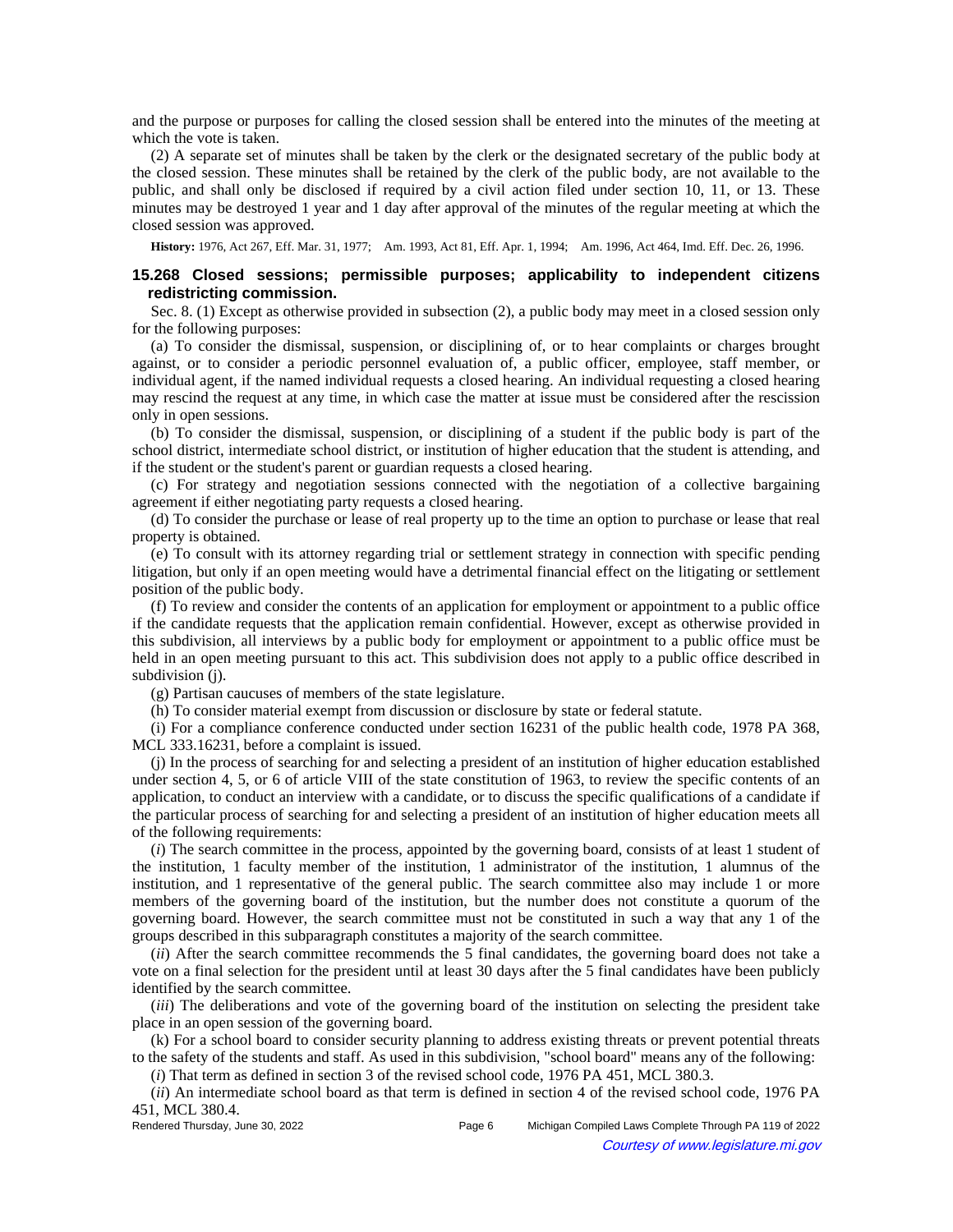and the purpose or purposes for calling the closed session shall be entered into the minutes of the meeting at which the vote is taken.

(2) A separate set of minutes shall be taken by the clerk or the designated secretary of the public body at the closed session. These minutes shall be retained by the clerk of the public body, are not available to the public, and shall only be disclosed if required by a civil action filed under section 10, 11, or 13. These minutes may be destroyed 1 year and 1 day after approval of the minutes of the regular meeting at which the closed session was approved.

History: 1976, Act 267, Eff. Mar. 31, 1977;—Am. 1993, Act 81, Eff. Apr. 1, 1994;—Am. 1996, Act 464, Imd. Eff. Dec. 26, 1996.

### **15.268 Closed sessions; permissible purposes; applicability to independent citizens redistricting commission.**

Sec. 8. (1) Except as otherwise provided in subsection (2), a public body may meet in a closed session only for the following purposes:

(a) To consider the dismissal, suspension, or disciplining of, or to hear complaints or charges brought against, or to consider a periodic personnel evaluation of, a public officer, employee, staff member, or individual agent, if the named individual requests a closed hearing. An individual requesting a closed hearing may rescind the request at any time, in which case the matter at issue must be considered after the rescission only in open sessions.

(b) To consider the dismissal, suspension, or disciplining of a student if the public body is part of the school district, intermediate school district, or institution of higher education that the student is attending, and if the student or the student's parent or guardian requests a closed hearing.

(c) For strategy and negotiation sessions connected with the negotiation of a collective bargaining agreement if either negotiating party requests a closed hearing.

(d) To consider the purchase or lease of real property up to the time an option to purchase or lease that real property is obtained.

(e) To consult with its attorney regarding trial or settlement strategy in connection with specific pending litigation, but only if an open meeting would have a detrimental financial effect on the litigating or settlement position of the public body.

(f) To review and consider the contents of an application for employment or appointment to a public office if the candidate requests that the application remain confidential. However, except as otherwise provided in this subdivision, all interviews by a public body for employment or appointment to a public office must be held in an open meeting pursuant to this act. This subdivision does not apply to a public office described in subdivision (j).

(g) Partisan caucuses of members of the state legislature.

(h) To consider material exempt from discussion or disclosure by state or federal statute.

(i) For a compliance conference conducted under section 16231 of the public health code, 1978 PA 368, MCL 333.16231, before a complaint is issued.

(j) In the process of searching for and selecting a president of an institution of higher education established under section 4, 5, or 6 of article VIII of the state constitution of 1963, to review the specific contents of an application, to conduct an interview with a candidate, or to discuss the specific qualifications of a candidate if the particular process of searching for and selecting a president of an institution of higher education meets all of the following requirements:

(*i*) The search committee in the process, appointed by the governing board, consists of at least 1 student of the institution, 1 faculty member of the institution, 1 administrator of the institution, 1 alumnus of the institution, and 1 representative of the general public. The search committee also may include 1 or more members of the governing board of the institution, but the number does not constitute a quorum of the governing board. However, the search committee must not be constituted in such a way that any 1 of the groups described in this subparagraph constitutes a majority of the search committee.

(*ii*) After the search committee recommends the 5 final candidates, the governing board does not take a vote on a final selection for the president until at least 30 days after the 5 final candidates have been publicly identified by the search committee.

(*iii*) The deliberations and vote of the governing board of the institution on selecting the president take place in an open session of the governing board.

(k) For a school board to consider security planning to address existing threats or prevent potential threats to the safety of the students and staff. As used in this subdivision, "school board" means any of the following:

(*i*) That term as defined in section 3 of the revised school code, 1976 PA 451, MCL 380.3.

(*ii*) An intermediate school board as that term is defined in section 4 of the revised school code, 1976 PA 451, MCL 380.4.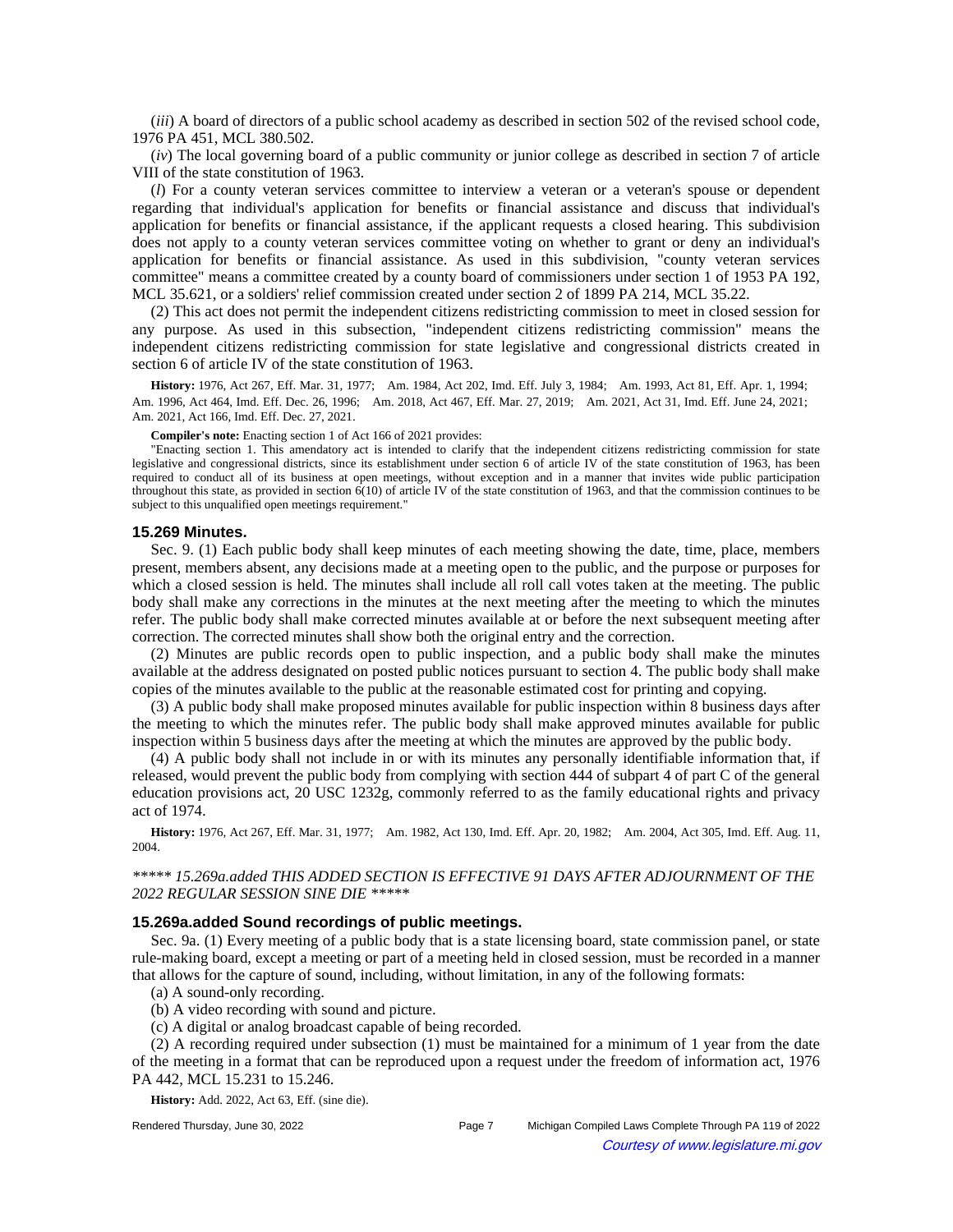(*iii*) A board of directors of a public school academy as described in section 502 of the revised school code, 1976 PA 451, MCL 380.502.

(*iv*) The local governing board of a public community or junior college as described in section 7 of article VIII of the state constitution of 1963.

(*l*) For a county veteran services committee to interview a veteran or a veteran's spouse or dependent regarding that individual's application for benefits or financial assistance and discuss that individual's application for benefits or financial assistance, if the applicant requests a closed hearing. This subdivision does not apply to a county veteran services committee voting on whether to grant or deny an individual's application for benefits or financial assistance. As used in this subdivision, "county veteran services committee" means a committee created by a county board of commissioners under section 1 of 1953 PA 192, MCL 35.621, or a soldiers' relief commission created under section 2 of 1899 PA 214, MCL 35.22.

(2) This act does not permit the independent citizens redistricting commission to meet in closed session for any purpose. As used in this subsection, "independent citizens redistricting commission" means the independent citizens redistricting commission for state legislative and congressional districts created in section 6 of article IV of the state constitution of 1963.

History: 1976, Act 267, Eff. Mar. 31, 1977;--Am. 1984, Act 202, Imd. Eff. July 3, 1984;--Am. 1993, Act 81, Eff. Apr. 1, 1994;--Am. 1996, Act 464, Imd. Eff. Dec. 26, 1996;—Am. 2018, Act 467, Eff. Mar. 27, 2019;—Am. 2021, Act 31, Imd. Eff. June 24, 2021;— Am. 2021, Act 166, Imd. Eff. Dec. 27, 2021.

**Compiler's note:** Enacting section 1 of Act 166 of 2021 provides:

"Enacting section 1. This amendatory act is intended to clarify that the independent citizens redistricting commission for state legislative and congressional districts, since its establishment under section 6 of article IV of the state constitution of 1963, has been required to conduct all of its business at open meetings, without exception and in a manner that invites wide public participation throughout this state, as provided in section 6(10) of article IV of the state constitution of 1963, and that the commission continues to be subject to this unqualified open meetings requirement."

#### **15.269 Minutes.**

Sec. 9. (1) Each public body shall keep minutes of each meeting showing the date, time, place, members present, members absent, any decisions made at a meeting open to the public, and the purpose or purposes for which a closed session is held. The minutes shall include all roll call votes taken at the meeting. The public body shall make any corrections in the minutes at the next meeting after the meeting to which the minutes refer. The public body shall make corrected minutes available at or before the next subsequent meeting after correction. The corrected minutes shall show both the original entry and the correction.

(2) Minutes are public records open to public inspection, and a public body shall make the minutes available at the address designated on posted public notices pursuant to section 4. The public body shall make copies of the minutes available to the public at the reasonable estimated cost for printing and copying.

(3) A public body shall make proposed minutes available for public inspection within 8 business days after the meeting to which the minutes refer. The public body shall make approved minutes available for public inspection within 5 business days after the meeting at which the minutes are approved by the public body.

(4) A public body shall not include in or with its minutes any personally identifiable information that, if released, would prevent the public body from complying with section 444 of subpart 4 of part C of the general education provisions act, 20 USC 1232g, commonly referred to as the family educational rights and privacy act of 1974.

**History:** 1976, Act 267, Eff. Mar. 31, 1977;—Am. 1982, Act 130, Imd. Eff. Apr. 20, 1982;—Am. 2004, Act 305, Imd. Eff. Aug. 11, 2004.

*\*\*\*\*\* 15.269a.added THIS ADDED SECTION IS EFFECTIVE 91 DAYS AFTER ADJOURNMENT OF THE 2022 REGULAR SESSION SINE DIE \*\*\*\*\** 

## **15.269a.added Sound recordings of public meetings.**

Sec. 9a. (1) Every meeting of a public body that is a state licensing board, state commission panel, or state rule-making board, except a meeting or part of a meeting held in closed session, must be recorded in a manner that allows for the capture of sound, including, without limitation, in any of the following formats:

(a) A sound-only recording.

(b) A video recording with sound and picture.

(c) A digital or analog broadcast capable of being recorded.

(2) A recording required under subsection (1) must be maintained for a minimum of 1 year from the date of the meeting in a format that can be reproduced upon a request under the freedom of information act, 1976 PA 442, MCL 15.231 to 15.246.

**History:** Add. 2022, Act 63, Eff. (sine die).

Rendered Thursday, June 30, 2022 **Page 7** Michigan Compiled Laws Complete Through PA 119 of 2022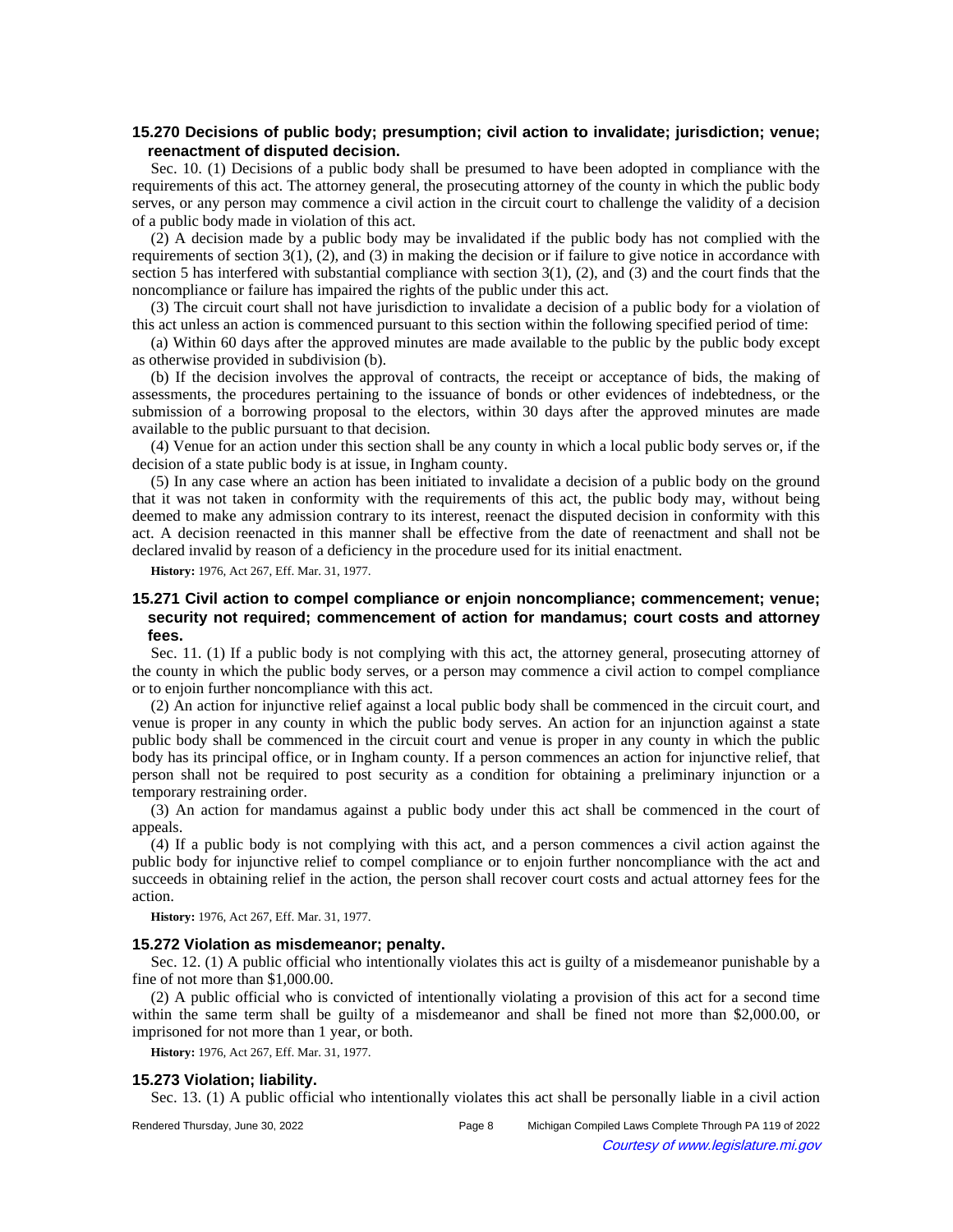## **15.270 Decisions of public body; presumption; civil action to invalidate; jurisdiction; venue; reenactment of disputed decision.**

Sec. 10. (1) Decisions of a public body shall be presumed to have been adopted in compliance with the requirements of this act. The attorney general, the prosecuting attorney of the county in which the public body serves, or any person may commence a civil action in the circuit court to challenge the validity of a decision of a public body made in violation of this act.

(2) A decision made by a public body may be invalidated if the public body has not complied with the requirements of section  $3(1)$ ,  $(2)$ , and  $(3)$  in making the decision or if failure to give notice in accordance with section 5 has interfered with substantial compliance with section  $3(1)$ ,  $(2)$ , and  $(3)$  and the court finds that the noncompliance or failure has impaired the rights of the public under this act.

(3) The circuit court shall not have jurisdiction to invalidate a decision of a public body for a violation of this act unless an action is commenced pursuant to this section within the following specified period of time:

(a) Within 60 days after the approved minutes are made available to the public by the public body except as otherwise provided in subdivision (b).

(b) If the decision involves the approval of contracts, the receipt or acceptance of bids, the making of assessments, the procedures pertaining to the issuance of bonds or other evidences of indebtedness, or the submission of a borrowing proposal to the electors, within 30 days after the approved minutes are made available to the public pursuant to that decision.

(4) Venue for an action under this section shall be any county in which a local public body serves or, if the decision of a state public body is at issue, in Ingham county.

(5) In any case where an action has been initiated to invalidate a decision of a public body on the ground that it was not taken in conformity with the requirements of this act, the public body may, without being deemed to make any admission contrary to its interest, reenact the disputed decision in conformity with this act. A decision reenacted in this manner shall be effective from the date of reenactment and shall not be declared invalid by reason of a deficiency in the procedure used for its initial enactment.

**History:** 1976, Act 267, Eff. Mar. 31, 1977.

## **15.271 Civil action to compel compliance or enjoin noncompliance; commencement; venue; security not required; commencement of action for mandamus; court costs and attorney fees.**

Sec. 11. (1) If a public body is not complying with this act, the attorney general, prosecuting attorney of the county in which the public body serves, or a person may commence a civil action to compel compliance or to enjoin further noncompliance with this act.

(2) An action for injunctive relief against a local public body shall be commenced in the circuit court, and venue is proper in any county in which the public body serves. An action for an injunction against a state public body shall be commenced in the circuit court and venue is proper in any county in which the public body has its principal office, or in Ingham county. If a person commences an action for injunctive relief, that person shall not be required to post security as a condition for obtaining a preliminary injunction or a temporary restraining order.

(3) An action for mandamus against a public body under this act shall be commenced in the court of appeals.

(4) If a public body is not complying with this act, and a person commences a civil action against the public body for injunctive relief to compel compliance or to enjoin further noncompliance with the act and succeeds in obtaining relief in the action, the person shall recover court costs and actual attorney fees for the action.

**History:** 1976, Act 267, Eff. Mar. 31, 1977.

### **15.272 Violation as misdemeanor; penalty.**

Sec. 12. (1) A public official who intentionally violates this act is guilty of a misdemeanor punishable by a fine of not more than \$1,000.00.

(2) A public official who is convicted of intentionally violating a provision of this act for a second time within the same term shall be guilty of a misdemeanor and shall be fined not more than \$2,000.00, or imprisoned for not more than 1 year, or both.

**History:** 1976, Act 267, Eff. Mar. 31, 1977.

### **15.273 Violation; liability.**

Sec. 13. (1) A public official who intentionally violates this act shall be personally liable in a civil action

Rendered Thursday, June 30, 2022 Page 8 Michigan Compiled Laws Complete Through PA 119 of 2022